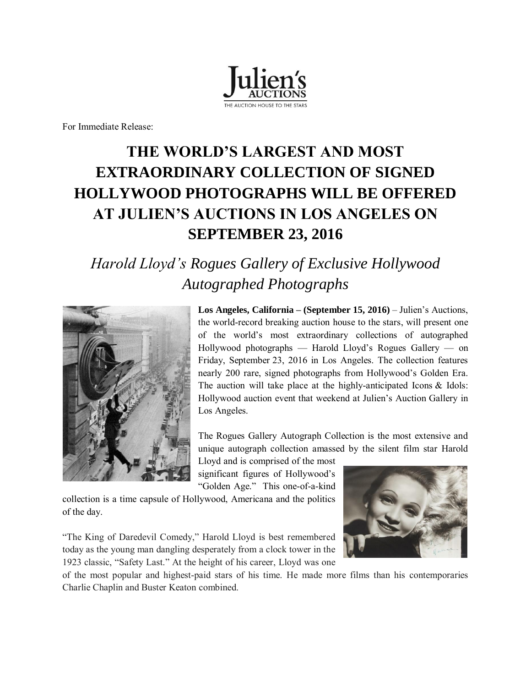

For Immediate Release:

# **THE WORLD'S LARGEST AND MOST EXTRAORDINARY COLLECTION OF SIGNED HOLLYWOOD PHOTOGRAPHS WILL BE OFFERED AT JULIEN'S AUCTIONS IN LOS ANGELES ON SEPTEMBER 23, 2016**

## *Harold Lloyd's Rogues Gallery of Exclusive Hollywood Autographed Photographs*



**Los Angeles, California – (September 15, 2016)** – Julien's Auctions, the world-record breaking auction house to the stars, will present one of the world's most extraordinary collections of autographed Hollywood photographs — Harold Lloyd's Rogues Gallery — on Friday, September 23, 2016 in Los Angeles. The collection features nearly 200 rare, signed photographs from Hollywood's Golden Era. The auction will take place at the highly-anticipated Icons & Idols: Hollywood auction event that weekend at Julien's Auction Gallery in Los Angeles.

The Rogues Gallery Autograph Collection is the most extensive and unique autograph collection amassed by the silent film star Harold

Lloyd and is comprised of the most significant figures of Hollywood's "Golden Age." This one-of-a-kind

collection is a time capsule of Hollywood, Americana and the politics of the day.

"The King of Daredevil Comedy," Harold Lloyd is best remembered today as the young man dangling desperately from a clock tower in the 1923 classic, "Safety Last." At the height of his career, Lloyd was one



of the most popular and highest-paid stars of his time. He made more films than his contemporaries Charlie Chaplin and Buster Keaton combined.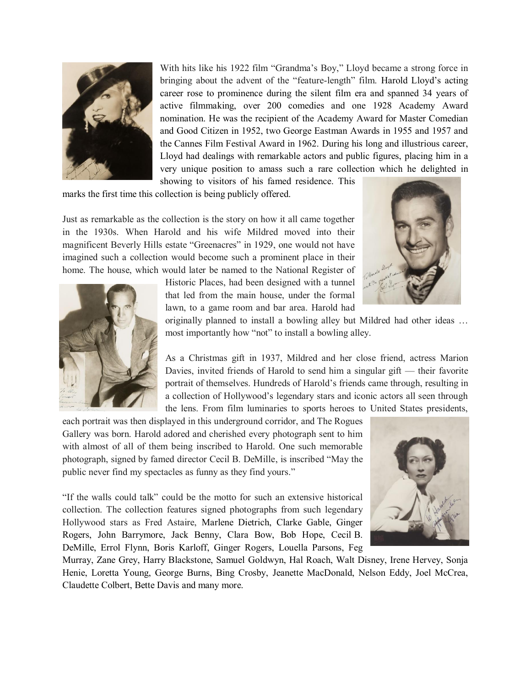

With hits like his 1922 film "Grandma's Boy," Lloyd became a strong force in bringing about the advent of the "feature-length" film. Harold Lloyd's acting career rose to prominence during the silent film era and spanned 34 years of active filmmaking, over 200 comedies and one 1928 Academy Award nomination. He was the recipient of the Academy Award for Master Comedian and Good Citizen in 1952, two George Eastman Awards in 1955 and 1957 and the Cannes Film Festival Award in 1962. During his long and illustrious career, Lloyd had dealings with remarkable actors and public figures, placing him in a very unique position to amass such a rare collection which he delighted in showing to visitors of his famed residence. This

marks the first time this collection is being publicly offered.

Just as remarkable as the collection is the story on how it all came together in the 1930s. When Harold and his wife Mildred moved into their magnificent Beverly Hills estate "Greenacres" in 1929, one would not have imagined such a collection would become such a prominent place in their home. The house, which would later be named to the National Register of





originally planned to install a bowling alley but Mildred had other ideas … most importantly how "not" to install a bowling alley.

As a Christmas gift in 1937, Mildred and her close friend, actress Marion Davies, invited friends of Harold to send him a singular gift — their favorite portrait of themselves. Hundreds of Harold's friends came through, resulting in a collection of Hollywood's legendary stars and iconic actors all seen through the lens. From film luminaries to sports heroes to United States presidents,

each portrait was then displayed in this underground corridor, and The Rogues Gallery was born. Harold adored and cherished every photograph sent to him with almost of all of them being inscribed to Harold. One such memorable photograph, signed by famed director Cecil B. DeMille, is inscribed "May the public never find my spectacles as funny as they find yours."

"If the walls could talk" could be the motto for such an extensive historical collection. The collection features signed photographs from such legendary Hollywood stars as Fred Astaire, Marlene Dietrich, Clarke Gable, Ginger Rogers, John Barrymore, Jack Benny, Clara Bow, Bob Hope, Cecil B. DeMille, Errol Flynn, Boris Karloff, Ginger Rogers, Louella Parsons, Feg



Murray, Zane Grey, Harry Blackstone, Samuel Goldwyn, Hal Roach, Walt Disney, Irene Hervey, Sonja Henie, Loretta Young, George Burns, Bing Crosby, Jeanette MacDonald, Nelson Eddy, Joel McCrea, Claudette Colbert, Bette Davis and many more.

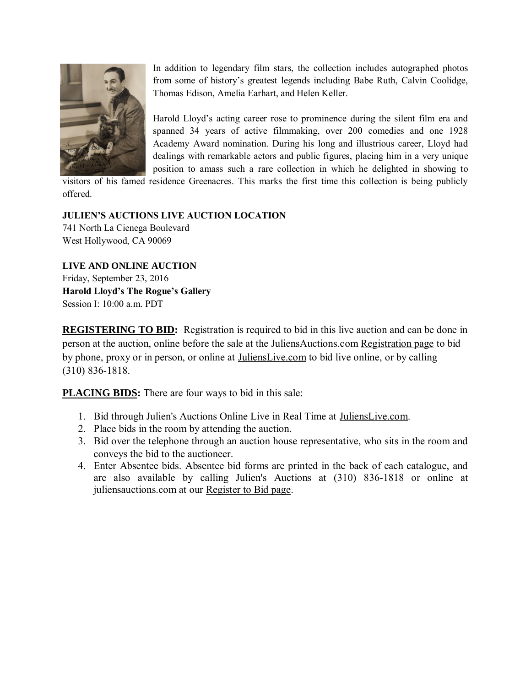

In addition to legendary film stars, the collection includes autographed photos from some of history's greatest legends including Babe Ruth, Calvin Coolidge, Thomas Edison, Amelia Earhart, and Helen Keller.

Harold Lloyd's acting career rose to prominence during the silent film era and spanned 34 years of active filmmaking, over 200 comedies and one 1928 Academy Award nomination. During his long and illustrious career, Lloyd had dealings with remarkable actors and public figures, placing him in a very unique position to amass such a rare collection in which he delighted in showing to

visitors of his famed residence Greenacres. This marks the first time this collection is being publicly offered.

## **JULIEN'S AUCTIONS LIVE AUCTION LOCATION**

741 North La Cienega Boulevard West Hollywood, CA 90069

**LIVE AND ONLINE AUCTION** Friday, September 23, 2016 **Harold Lloyd's The Rogue's Gallery**  Session I: 10:00 a.m. PDT

**REGISTERING TO BID:** Registration is required to bid in this live auction and can be done in person at the auction, online before the sale at the JuliensAuctions.com [Registration page](http://www.juliensauctions.com/register.html) to bid by phone, proxy or in person, or online at [JuliensLive.com](https://www.julienslive.com/signup/) to bid live online, or by calling (310) 836-1818.

**PLACING BIDS:** There are four ways to bid in this sale:

- 1. Bid through Julien's Auctions Online Live in Real Time at [JuliensLive.com.](https://www.julienslive.com/)
- 2. Place bids in the room by attending the auction.
- 3. Bid over the telephone through an auction house representative, who sits in the room and conveys the bid to the auctioneer.
- 4. Enter Absentee bids. Absentee bid forms are printed in the back of each catalogue, and are also available by calling Julien's Auctions at (310) 836-1818 or online at juliensauctions.com at our [Register to Bid page.](http://www.juliensauctions.com/register.html)